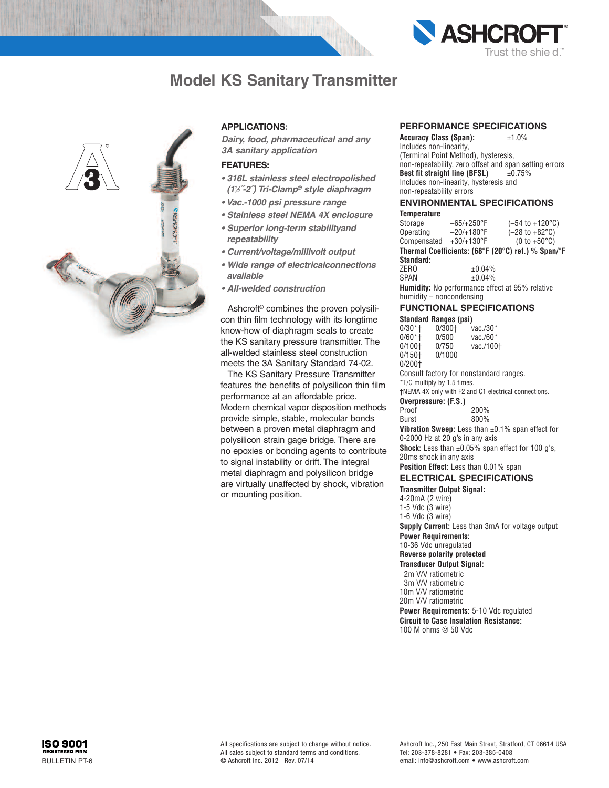

# **Model KS Sanitary Transmitter**



### **APPLICATIONS:**

*Dairy, food, pharmaceutical and any 3A sanitary application*

#### **FEATURES:**

- *• 316L stainless steel electropolished (11 ⁄2˝-2˝) Tri-Clamp® style diaphragm*
- *• Vac.-1000 psi pressure range*
- *• Stainless steel NEMA 4X enclosure*
- *• Superior long-term stabilityand repeatability*
- *• Current/voltage/millivolt output*
- *• Wide range of electricalconnections available*
- *• All-welded construction*

Ashcroft ® combines the proven polysilicon thin film technology with its longtime know-how of diaphragm seals to create the KS sanitary pressure transmitter. The all-welded stainless steel construction meets the 3A Sanitary Standard 74-02.

The KS Sanitary Pressure Transmitter features the benefits of polysilicon thin film performance at an affordable price. Modern chemical vapor disposition methods provide simple, stable, molecular bonds between a proven metal diaphragm and polysilicon strain gage bridge. There are no epoxies or bonding agents to contribute to signal instability or drift. The integral metal diaphragm and polysilicon bridge are virtually unaffected by shock, vibration or mounting position.

#### **PERFORMANCE SPECIFICATIONS**

**Accuracy Class (Span):** ±1.0% Includes non-linearity, (Terminal Point Method), hysteresis, non-repeatability, zero offset and span setting errors **Best fit straight line (BFSL)** ±0.75% Includes non-linearity, hysteresis and non-repeatability errors

#### **ENVIRONMENTAL SPECIFICATIONS Temperature**

| Storage                                                | $-65/+250$ °F       | $(-54 \text{ to } +120^{\circ}\text{C})$ |  |  |  |  |  |  |
|--------------------------------------------------------|---------------------|------------------------------------------|--|--|--|--|--|--|
| Operating                                              | $-20/+180^{\circ}F$ | $(-28 \text{ to } +82^{\circ} \text{C})$ |  |  |  |  |  |  |
| Compensated +30/+130°F                                 |                     | $(0 to +50°C)$                           |  |  |  |  |  |  |
| Thermal Coefficients: (68°F (20°C) ref.) % Span/°F     |                     |                                          |  |  |  |  |  |  |
| Standard:                                              |                     |                                          |  |  |  |  |  |  |
| ZER <sub>0</sub>                                       | ±0.04%              |                                          |  |  |  |  |  |  |
| <b>SPAN</b>                                            | ±0.04%              |                                          |  |  |  |  |  |  |
| <b>Humidity:</b> No performance effect at 95% relative |                     |                                          |  |  |  |  |  |  |
| humidity - noncondensing                               |                     |                                          |  |  |  |  |  |  |

#### **FUNCTIONAL SPECIFICATIONS**

| Standard Ranges (psi)                                         |                                 |                                                               |  |  |  |  |  |  |
|---------------------------------------------------------------|---------------------------------|---------------------------------------------------------------|--|--|--|--|--|--|
|                                                               | 0/30*† 0/300† vac./30*          |                                                               |  |  |  |  |  |  |
|                                                               | 0/60*†  0/500                   | vac./60 $*$                                                   |  |  |  |  |  |  |
|                                                               | 0/100† 0/750                    | vac./100+                                                     |  |  |  |  |  |  |
| 0/150† 0/1000                                                 |                                 |                                                               |  |  |  |  |  |  |
| 0/200†                                                        |                                 |                                                               |  |  |  |  |  |  |
| Consult factory for nonstandard ranges.                       |                                 |                                                               |  |  |  |  |  |  |
| *T/C multiply by 1.5 times.                                   |                                 |                                                               |  |  |  |  |  |  |
| <b>TNEMA 4X only with F2 and C1 electrical connections.</b>   |                                 |                                                               |  |  |  |  |  |  |
|                                                               | Overpressure: (F.S.)            |                                                               |  |  |  |  |  |  |
| Proof                                                         |                                 | 200%                                                          |  |  |  |  |  |  |
| Burst                                                         |                                 | 800%                                                          |  |  |  |  |  |  |
| <b>Vibration Sweep:</b> Less than $\pm 0.1\%$ span effect for |                                 |                                                               |  |  |  |  |  |  |
|                                                               | 0-2000 Hz at 20 q's in any axis |                                                               |  |  |  |  |  |  |
|                                                               | 20ms shock in any axis          | <b>Shock:</b> Less than $\pm 0.05\%$ span effect for 100 q's, |  |  |  |  |  |  |
| <b>Position Effect:</b> Less than 0.01% span                  |                                 |                                                               |  |  |  |  |  |  |

#### **ELECTRICAL SPECIFICATIONS**

## **Transmitter Output Signal:**

- 4-20mA (2 wire) 1-5 Vdc (3 wire)
- 1-6 Vdc (3 wire)

**Supply Current:** Less than 3mA for voltage output

- **Power Requirements:**
- 10-36 Vdc unregulated **Reverse polarity protected**

# **Transducer Output Signal:**

2m V/V ratiometric

- 3m V/V ratiometric 10m V/V ratiometric
- 20m V/V ratiometric
- 

**Power Requirements:** 5-10 Vdc regulated **Circuit to Case Insulation Resistance:**

100 M ohms @ 50 Vdc